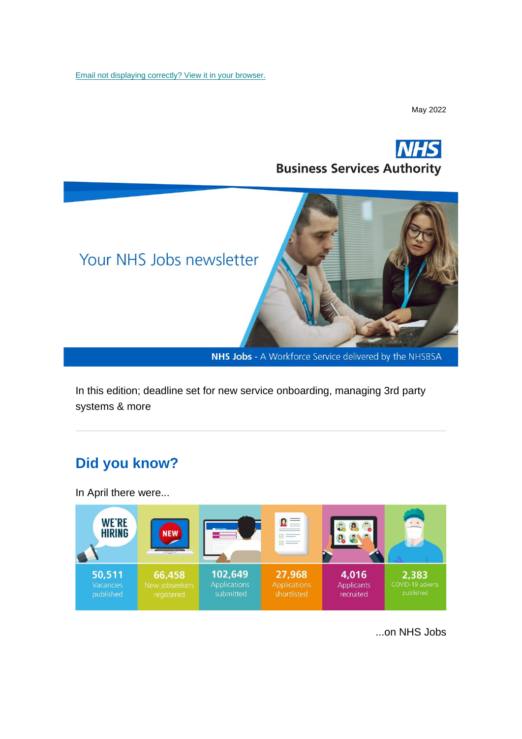[Email not displaying correctly? View it in your browser.](https://mailchi.mp/059be2e6b2a7/nhs-jobs-newsletter-may-1877353?e=%5bUNIQID%5d)

May 2022





NHS Jobs - A Workforce Service delivered by the NHSBSA

In this edition; deadline set for new service onboarding, managing 3rd party systems & more

### **Did you know?**

In April there were...



...on NHS Jobs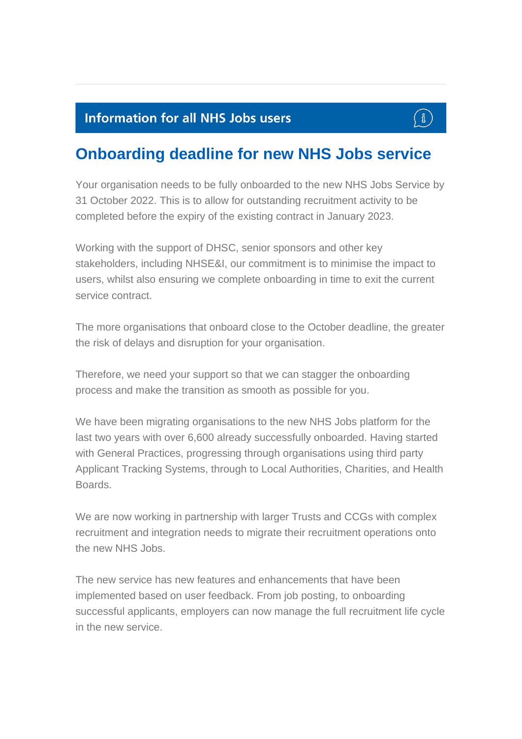### **Information for all NHS Jobs users**



## **Onboarding deadline for new NHS Jobs service**

Your organisation needs to be fully onboarded to the new NHS Jobs Service by 31 October 2022. This is to allow for outstanding recruitment activity to be completed before the expiry of the existing contract in January 2023.

Working with the support of DHSC, senior sponsors and other key stakeholders, including NHSE&I, our commitment is to minimise the impact to users, whilst also ensuring we complete onboarding in time to exit the current service contract

The more organisations that onboard close to the October deadline, the greater the risk of delays and disruption for your organisation.

Therefore, we need your support so that we can stagger the onboarding process and make the transition as smooth as possible for you.

We have been migrating organisations to the new NHS Jobs platform for the last two years with over 6,600 already successfully onboarded. Having started with General Practices, progressing through organisations using third party Applicant Tracking Systems, through to Local Authorities, Charities, and Health Boards.

We are now working in partnership with larger Trusts and CCGs with complex recruitment and integration needs to migrate their recruitment operations onto the new NHS Jobs.

The new service has new features and enhancements that have been implemented based on user feedback. From job posting, to onboarding successful applicants, employers can now manage the full recruitment life cycle in the new service.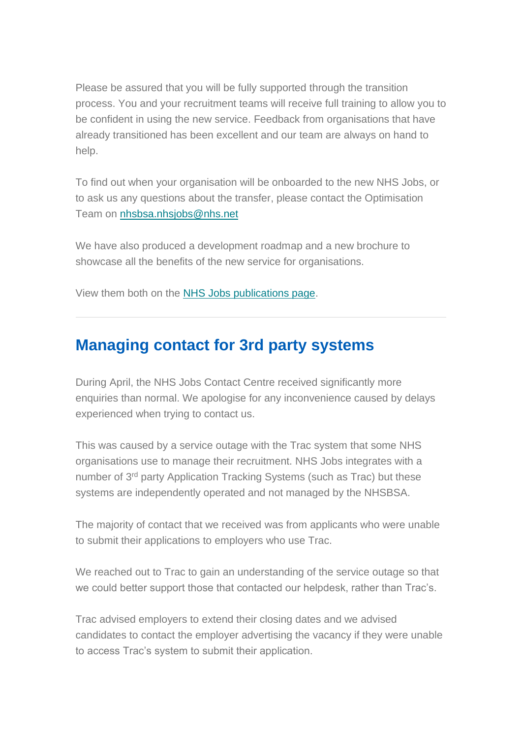Please be assured that you will be fully supported through the transition process. You and your recruitment teams will receive full training to allow you to be confident in using the new service. Feedback from organisations that have already transitioned has been excellent and our team are always on hand to help.

To find out when your organisation will be onboarded to the new NHS Jobs, or to ask us any questions about the transfer, please contact the Optimisation Team on [nhsbsa.nhsjobs@nhs.net](mailto:nhsbsa.nhsjobs@nhs.net)

We have also produced a development roadmap and a new brochure to showcase all the benefits of the new service for organisations.

View them both on the [NHS Jobs publications page.](https://www.nhsbsa.nhs.uk/nhs-jobs-publications)

### **Managing contact for 3rd party systems**

During April, the NHS Jobs Contact Centre received significantly more enquiries than normal. We apologise for any inconvenience caused by delays experienced when trying to contact us.

This was caused by a service outage with the Trac system that some NHS organisations use to manage their recruitment. NHS Jobs integrates with a number of 3rd party Application Tracking Systems (such as Trac) but these systems are independently operated and not managed by the NHSBSA.

The majority of contact that we received was from applicants who were unable to submit their applications to employers who use Trac.

We reached out to Trac to gain an understanding of the service outage so that we could better support those that contacted our helpdesk, rather than Trac's.

Trac advised employers to extend their closing dates and we advised candidates to contact the employer advertising the vacancy if they were unable to access Trac's system to submit their application.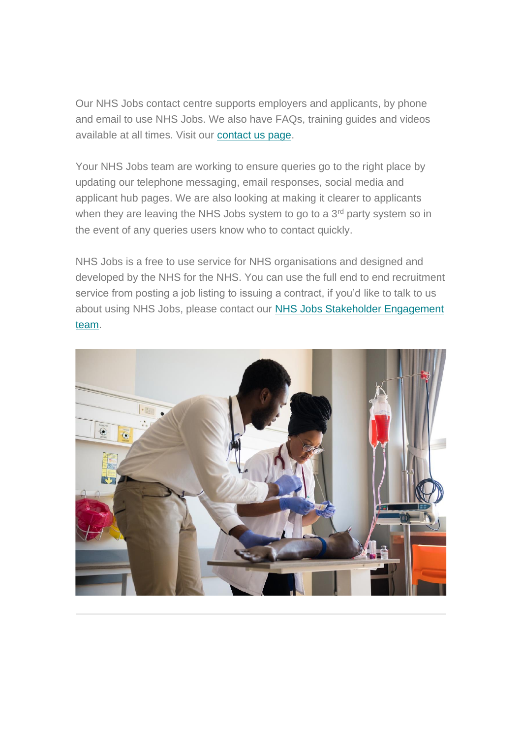Our NHS Jobs contact centre supports employers and applicants, by phone and email to use NHS Jobs. We also have FAQs, training guides and videos available at all times. Visit our [contact us page.](https://www.jobs.nhs.uk/contact_cand.html)

Your NHS Jobs team are working to ensure queries go to the right place by updating our telephone messaging, email responses, social media and applicant hub pages. We are also looking at making it clearer to applicants when they are leaving the NHS Jobs system to go to a  $3<sup>rd</sup>$  party system so in the event of any queries users know who to contact quickly.

NHS Jobs is a free to use service for NHS organisations and designed and developed by the NHS for the NHS. You can use the full end to end recruitment service from posting a job listing to issuing a contract, if you'd like to talk to us about using NHS Jobs, please contact our [NHS Jobs Stakeholder Engagement](https://www.nhsbsa.nhs.uk/nhs-jobs-stakeholder-engagement-team)  [team.](https://www.nhsbsa.nhs.uk/nhs-jobs-stakeholder-engagement-team)

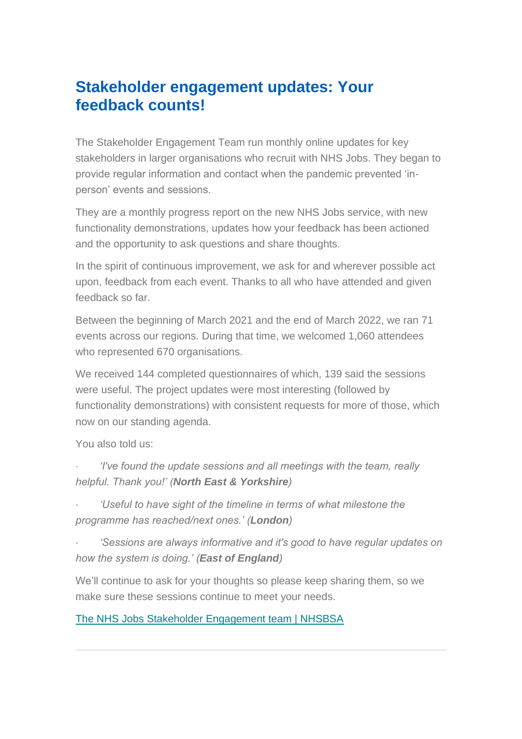### **Stakeholder engagement updates: Your feedback counts!**

The Stakeholder Engagement Team run monthly online updates for key stakeholders in larger organisations who recruit with NHS Jobs. They began to provide regular information and contact when the pandemic prevented 'inperson' events and sessions.

They are a monthly progress report on the new NHS Jobs service, with new functionality demonstrations, updates how your feedback has been actioned and the opportunity to ask questions and share thoughts.

In the spirit of continuous improvement, we ask for and wherever possible act upon, feedback from each event. Thanks to all who have attended and given feedback so far.

Between the beginning of March 2021 and the end of March 2022, we ran 71 events across our regions. During that time, we welcomed 1,060 attendees who represented 670 organisations.

We received 144 completed questionnaires of which, 139 said the sessions were useful. The project updates were most interesting (followed by functionality demonstrations) with consistent requests for more of those, which now on our standing agenda.

You also told us:

- · *'I've found the update sessions and all meetings with the team, really helpful. Thank you!' (North East & Yorkshire)*
- · *'Useful to have sight of the timeline in terms of what milestone the programme has reached/next ones.' (London)*
- · *'Sessions are always informative and it's good to have regular updates on how the system is doing.' (East of England)*

We'll continue to ask for your thoughts so please keep sharing them, so we make sure these sessions continue to meet your needs.

[The NHS Jobs Stakeholder Engagement team | NHSBSA](https://www.nhsbsa.nhs.uk/nhs-jobs-stakeholder-engagement-team)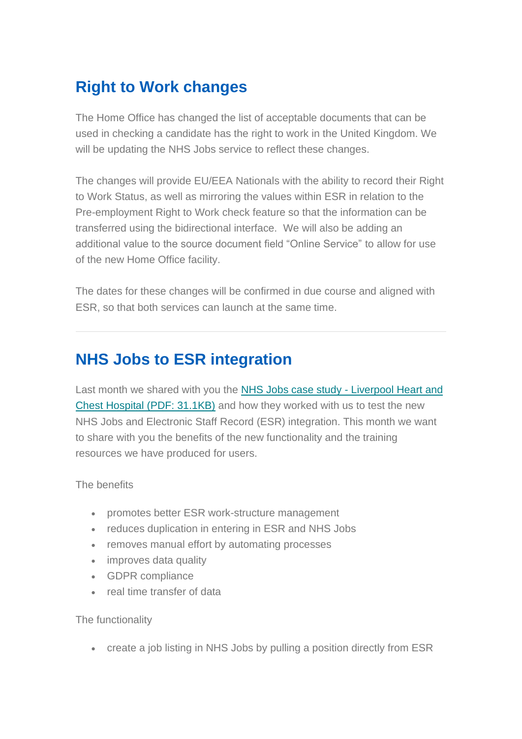# **Right to Work changes**

The Home Office has changed the list of acceptable documents that can be used in checking a candidate has the right to work in the United Kingdom. We will be updating the NHS Jobs service to reflect these changes.

The changes will provide EU/EEA Nationals with the ability to record their Right to Work Status, as well as mirroring the values within ESR in relation to the Pre-employment Right to Work check feature so that the information can be transferred using the bidirectional interface. We will also be adding an additional value to the source document field "Online Service" to allow for use of the new Home Office facility.

The dates for these changes will be confirmed in due course and aligned with ESR, so that both services can launch at the same time.

## **NHS Jobs to ESR integration**

Last month we shared with you the [NHS Jobs case study -](https://www.nhsbsa.nhs.uk/sites/default/files/2022-04/NHS%20Jobs%20case%20study-%20Liverpool%20Heart%20and%20Chest%20Hospital%20%28V0.4%29%2004.2022.pdf) Liverpool Heart and [Chest Hospital \(PDF: 31.1KB\)](https://www.nhsbsa.nhs.uk/sites/default/files/2022-04/NHS%20Jobs%20case%20study-%20Liverpool%20Heart%20and%20Chest%20Hospital%20%28V0.4%29%2004.2022.pdf) and how they worked with us to test the new NHS Jobs and Electronic Staff Record (ESR) integration. This month we want to share with you the benefits of the new functionality and the training resources we have produced for users.

#### The benefits

- promotes better ESR work-structure management
- reduces duplication in entering in ESR and NHS Jobs
- removes manual effort by automating processes
- improves data quality
- GDPR compliance
- real time transfer of data

#### The functionality

• create a job listing in NHS Jobs by pulling a position directly from ESR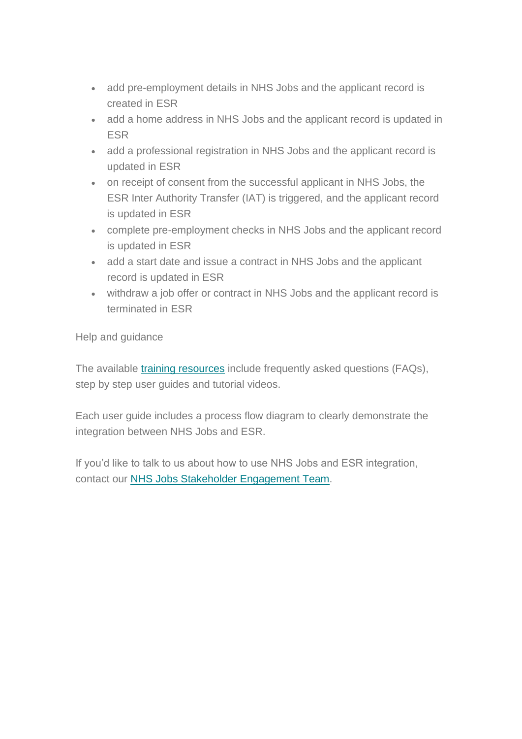- add pre-employment details in NHS Jobs and the applicant record is created in ESR
- add a home address in NHS Jobs and the applicant record is updated in ESR
- add a professional registration in NHS Jobs and the applicant record is updated in ESR
- on receipt of consent from the successful applicant in NHS Jobs, the ESR Inter Authority Transfer (IAT) is triggered, and the applicant record is updated in ESR
- complete pre-employment checks in NHS Jobs and the applicant record is updated in ESR
- add a start date and issue a contract in NHS Jobs and the applicant record is updated in ESR
- withdraw a job offer or contract in NHS Jobs and the applicant record is terminated in ESR

Help and guidance

The available *[training resources](https://www.nhsbsa.nhs.uk/new-nhs-jobs-service/help-and-support-employers)* include frequently asked questions (FAQs), step by step user guides and tutorial videos.

Each user guide includes a process flow diagram to clearly demonstrate the integration between NHS Jobs and ESR.

If you'd like to talk to us about how to use NHS Jobs and ESR integration, contact our [NHS Jobs Stakeholder Engagement Team.](https://www.nhsbsa.nhs.uk/nhs-jobs-stakeholder-engagement-team)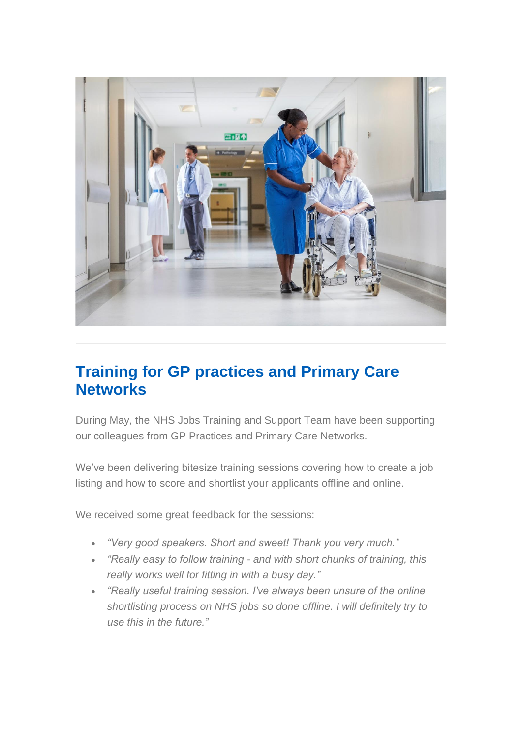

## **Training for GP practices and Primary Care Networks**

During May, the NHS Jobs Training and Support Team have been supporting our colleagues from GP Practices and Primary Care Networks.

We've been delivering bitesize training sessions covering how to create a job listing and how to score and shortlist your applicants offline and online.

We received some great feedback for the sessions:

- *"Very good speakers. Short and sweet! Thank you very much."*
- *"Really easy to follow training - and with short chunks of training, this really works well for fitting in with a busy day."*
- *"Really useful training session. I've always been unsure of the online shortlisting process on NHS jobs so done offline. I will definitely try to use this in the future."*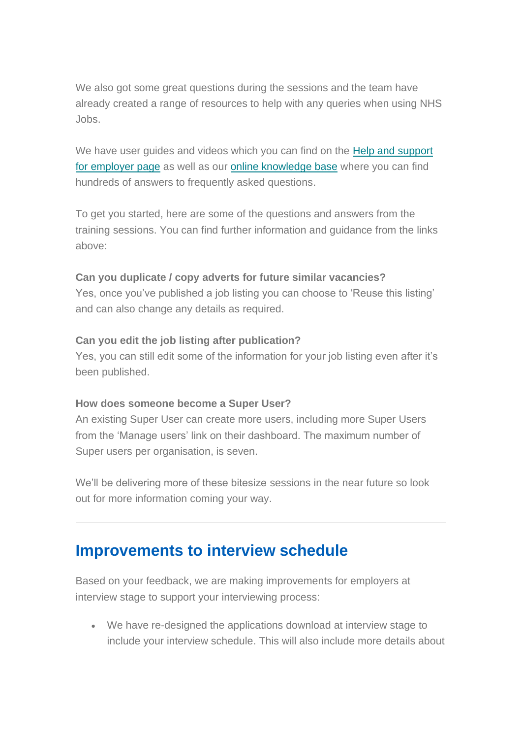We also got some great questions during the sessions and the team have already created a range of resources to help with any queries when using NHS Jobs.

We have user guides and videos which you can find on the Help and support [for employer page](https://www.nhsbsa.nhs.uk/new-nhs-jobs-service/help-and-support-employers) as well as our [online knowledge base](https://faq.nhsbsa.nhs.uk/knowledgebase/category/?articlecategory=NHS%20Jobs&id=CAT-04837&parentid=) where you can find hundreds of answers to frequently asked questions.

To get you started, here are some of the questions and answers from the training sessions. You can find further information and guidance from the links above:

#### **Can you duplicate / copy adverts for future similar vacancies?**

Yes, once you've published a job listing you can choose to 'Reuse this listing' and can also change any details as required.

#### **Can you edit the job listing after publication?**

Yes, you can still edit some of the information for your job listing even after it's been published.

#### **How does someone become a Super User?**

An existing Super User can create more users, including more Super Users from the 'Manage users' link on their dashboard. The maximum number of Super users per organisation, is seven.

We'll be delivering more of these bitesize sessions in the near future so look out for more information coming your way.

### **Improvements to interview schedule**

Based on your feedback, we are making improvements for employers at interview stage to support your interviewing process:

• We have re-designed the applications download at interview stage to include your interview schedule. This will also include more details about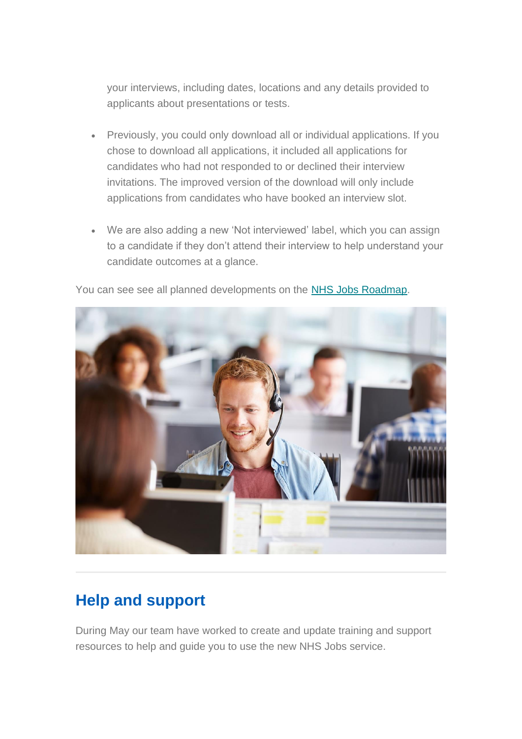your interviews, including dates, locations and any details provided to applicants about presentations or tests.

- Previously, you could only download all or individual applications. If you chose to download all applications, it included all applications for candidates who had not responded to or declined their interview invitations. The improved version of the download will only include applications from candidates who have booked an interview slot.
- We are also adding a new 'Not interviewed' label, which you can assign to a candidate if they don't attend their interview to help understand your candidate outcomes at a glance.



You can see see all planned developments on the [NHS Jobs Roadmap.](https://www.nhsbsa.nhs.uk/nhs-jobs-publications)

## **Help and support**

During May our team have worked to create and update training and support resources to help and guide you to use the new NHS Jobs service.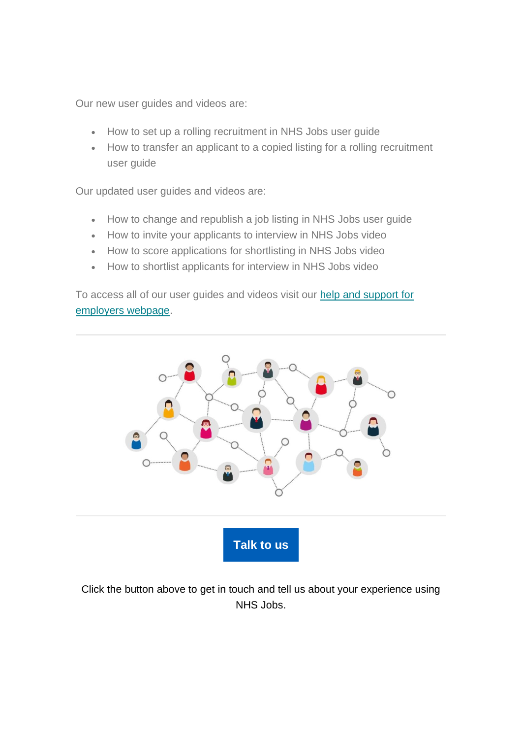Our new user guides and videos are:

- How to set up a rolling recruitment in NHS Jobs user guide
- How to transfer an applicant to a copied listing for a rolling recruitment user guide

Our updated user guides and videos are:

- How to change and republish a job listing in NHS Jobs user guide
- How to invite your applicants to interview in NHS Jobs video
- How to score applications for shortlisting in NHS Jobs video
- How to shortlist applicants for interview in NHS Jobs video

To access all of our user guides and videos visit our [help and support](https://www.nhsbsa.nhs.uk/new-nhs-jobs-service/help-and-support-employers) for [employers webpage.](https://www.nhsbsa.nhs.uk/new-nhs-jobs-service/help-and-support-employers)



Click the button above to get in touch and tell us about your experience using NHS Jobs.